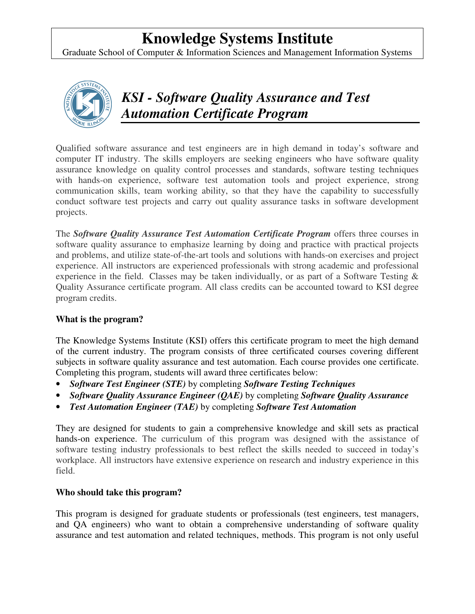## **Knowledge Systems Institute**

Graduate School of Computer & Information Sciences and Management Information Systems



*KSI - Software Quality Assurance and Test Automation Certificate Program* 

Qualified software assurance and test engineers are in high demand in today's software and computer IT industry. The skills employers are seeking engineers who have software quality assurance knowledge on quality control processes and standards, software testing techniques with hands-on experience, software test automation tools and project experience, strong communication skills, team working ability, so that they have the capability to successfully conduct software test projects and carry out quality assurance tasks in software development projects.

The *Software Quality Assurance Test Automation Certificate Program* offers three courses in software quality assurance to emphasize learning by doing and practice with practical projects and problems, and utilize state-of-the-art tools and solutions with hands-on exercises and project experience. All instructors are experienced professionals with strong academic and professional experience in the field. Classes may be taken individually, or as part of a Software Testing  $\&$ Quality Assurance certificate program. All class credits can be accounted toward to KSI degree program credits.

## **What is the program?**

The Knowledge Systems Institute (KSI) offers this certificate program to meet the high demand of the current industry. The program consists of three certificated courses covering different subjects in software quality assurance and test automation. Each course provides one certificate. Completing this program, students will award three certificates below:

- *Software Test Engineer (STE)* by completing *Software Testing Techniques*
- *Software Quality Assurance Engineer (QAE)* by completing *Software Quality Assurance*
- *Test Automation Engineer (TAE)* by completing *Software Test Automation*

They are designed for students to gain a comprehensive knowledge and skill sets as practical hands-on experience. The curriculum of this program was designed with the assistance of software testing industry professionals to best reflect the skills needed to succeed in today's workplace. All instructors have extensive experience on research and industry experience in this field.

## **Who should take this program?**

This program is designed for graduate students or professionals (test engineers, test managers, and QA engineers) who want to obtain a comprehensive understanding of software quality assurance and test automation and related techniques, methods. This program is not only useful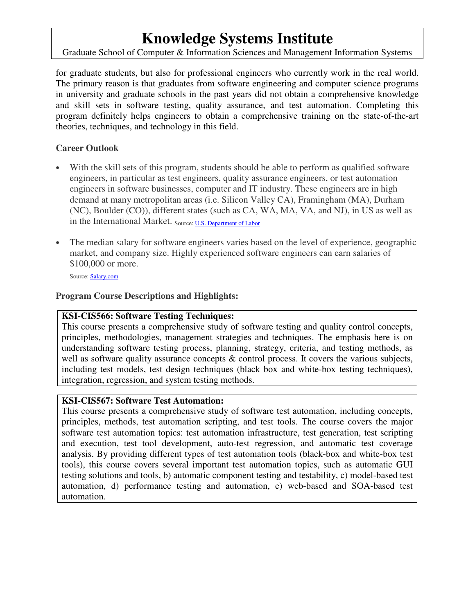## **Knowledge Systems Institute**

Graduate School of Computer & Information Sciences and Management Information Systems

for graduate students, but also for professional engineers who currently work in the real world. The primary reason is that graduates from software engineering and computer science programs in university and graduate schools in the past years did not obtain a comprehensive knowledge and skill sets in software testing, quality assurance, and test automation. Completing this program definitely helps engineers to obtain a comprehensive training on the state-of-the-art theories, techniques, and technology in this field.

## **Career Outlook**

- With the skill sets of this program, students should be able to perform as qualified software engineers, in particular as test engineers, quality assurance engineers, or test automation engineers in software businesses, computer and IT industry. These engineers are in high demand at many metropolitan areas (i.e. Silicon Valley CA), Framingham (MA), Durham (NC), Boulder (CO)), different states (such as CA, WA, MA, VA, and NJ), in US as well as in the International Market. Source: U.S. Department of Labor
- The median salary for software engineers varies based on the level of experience, geographic market, and company size. Highly experienced software engineers can earn salaries of \$100,000 or more.

Source: **Salary.com** 

## **Program Course Descriptions and Highlights:**

#### **KSI-CIS566: Software Testing Techniques:**

This course presents a comprehensive study of software testing and quality control concepts, principles, methodologies, management strategies and techniques. The emphasis here is on understanding software testing process, planning, strategy, criteria, and testing methods, as well as software quality assurance concepts  $\&$  control process. It covers the various subjects, including test models, test design techniques (black box and white-box testing techniques), integration, regression, and system testing methods.

## **KSI-CIS567: Software Test Automation:**

This course presents a comprehensive study of software test automation, including concepts, principles, methods, test automation scripting, and test tools. The course covers the major software test automation topics: test automation infrastructure, test generation, test scripting and execution, test tool development, auto-test regression, and automatic test coverage analysis. By providing different types of test automation tools (black-box and white-box test tools), this course covers several important test automation topics, such as automatic GUI testing solutions and tools, b) automatic component testing and testability, c) model-based test automation, d) performance testing and automation, e) web-based and SOA-based test automation.